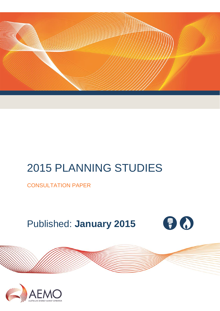

# 2015 PLANNING STUDIES

CONSULTATION PAPER

# Published: **January 2015**



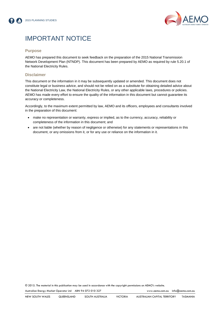



# IMPORTANT NOTICE

## **Purpose**

AEMO has prepared this document to seek feedback on the preparation of the 2015 National Transmission Network Development Plan (NTNDP). This document has been prepared by AEMO as required by rule 5.20.1 of the National Electricity Rules.

# **Disclaimer**

This document or the information in it may be subsequently updated or amended. This document does not constitute legal or business advice, and should not be relied on as a substitute for obtaining detailed advice about the National Electricity Law, the National Electricity Rules, or any other applicable laws, procedures or policies. AEMO has made every effort to ensure the quality of the information in this document but cannot guarantee its accuracy or completeness.

Accordingly, to the maximum extent permitted by law, AEMO and its officers, employees and consultants involved in the preparation of this document:

- make no representation or warranty, express or implied, as to the currency, accuracy, reliability or completeness of the information in this document; and
- are not liable (whether by reason of negligence or otherwise) for any statements or representations in this document, or any omissions from it, or for any use or reliance on the information in it.

© 2015. The material in this publication may be used in accordance with the copyright [permissions](http://www.aemo.com.au/en/About-AEMO/Copyright-Permissions) on AEMO's website.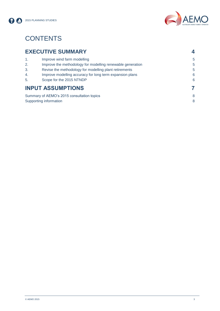



# **CONTENTS**

| <b>EXECUTIVE SUMMARY</b> |  |
|--------------------------|--|
|                          |  |

| Improve wind farm modelling                                | 5 |
|------------------------------------------------------------|---|
| Improve the methodology for modelling renewable generation | 5 |
| Revise the methodology for modelling plant retirements     | 5 |
| Improve modelling accuracy for long term expansion plans   | 6 |
| Scope for the 2015 NTNDP                                   | 6 |
| <b>INPUT ASSUMPTIONS</b>                                   |   |
| Summary of AEMO's 2015 consultation topics                 | 8 |
| Supporting information                                     | 8 |
|                                                            |   |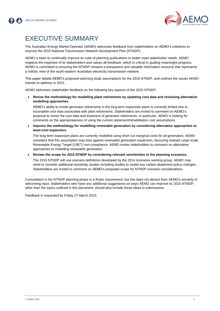

# EXECUTIVE SUMMARY

The Australian Energy Market Operator (AEMO) welcomes feedback from stakeholders on AEMO's initiatives to improve the 2015 National Transmission Network Development Plan (NTNDP).

AEMO is keen to continually improve its suite of planning publications to better meet stakeholder needs. AEMO respects the expertise of its stakeholders and values all feedback, which is critical in guiding meaningful progress. AEMO is committed to ensuring the NTNDP remains a transparent and valuable information resource that represents a holistic view of the south-eastern Australian electricity transmission network.

This paper details AEMO's proposed planning study assumptions for the 2015 NTNDP, and outlines the issues AEMO intends to address in 2015.

AEMO welcomes stakeholder feedback on the following key aspects of the 2015 NTNDP:

 **Revise the methodology for modelling plant retirements by updating cost data and reviewing alternative modelling approaches.**

AEMO's ability to model generator retirements in the long term expansion plans is currently limited due to incomplete cost data associated with plant retirements. Stakeholders are invited to comment on AEMO's proposal to revise the cost data and treatment of generator retirements. In particular, AEMO is looking for comments on the appropriateness of using the current retirement/rehabilitation cost assumptions.

 **Improve the methodology for modelling renewable generation by considering alternative approaches to least-cost expansion.**

The long term expansion plans are currently modelled using short run marginal costs for all generators. AEMO considers that this assumption may bias against renewable generation expansion, favouring instead Large-scale Renewable Energy Target (LRET) non-compliance. AEMO invites stakeholders to comment on alternative approaches to modelling renewable generation.

**Review the scope for 2015 NTNDP by considering relevant sensitivities to the planning scenarios.**

The 2015 NTNDP will use scenario definitions developed by the 2014 scenarios working group. AEMO may need to consider additional sensitivity studies including studies to model any carbon abatement policy changes. Stakeholders are invited to comment on AEMO's proposed scope for NTNDP scenario considerations.

Consultation in the NTNDP planning phase is a Rules requirement, but this does not detract from AEMO's sincerity in welcoming input. Stakeholders who have any additional suggestions on ways AEMO can improve its 2015 NTNDP, other than the topics outlined in this document, should also include these ideas in submissions.

Feedback is requested by Friday 27 March 2015.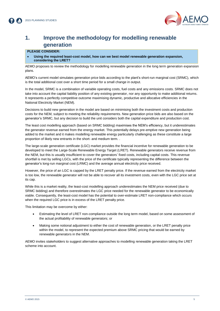

# **1. Improve the methodology for modelling renewable generation**

# **PLEASE CONSIDER:**

 **Using the required least-cost model, how can we best model renewable generation expansion, considering the LRET?**

AEMO proposes to review the methodology for modelling renewable generation in the long term generation expansion plans.

AEMO's current model simulates generation price bids according to the plant's short-run marginal cost (SRMC), which is the total additional cost over a short time period for a small change in output.

In the model, SRMC is a combination of variable operating costs, fuel costs and any emissions costs. SRMC does not take into account the capital liability position of any existing generator, nor any opportunity to make additional returns. It represents a perfectly competitive outcome maximising dynamic, productive and allocative efficiencies in the National Electricity Market (NEM).

Decisions to build new generation in the model are based on minimising both the investment costs and production costs for the NEM, subject to meeting the reliability requirements. New generation price bids are also based on the generator's SRMC, but any decision to build the unit considers both the capital expenditure and production cost.

The least cost modelling approach (based on SRMC bidding) maximises the NEM's efficiency, but it underestimates the generator revenue earned from the energy market. This potentially delays pre-emptive new generation being added to the market and it makes modelling renewable energy particularly challenging as these constitute a large proportion of likely new entrants in the short- and medium term. .

The large-scale generation certificate (LGC) market provides the financial incentive for renewable generation to be developed to meet the Large-Scale Renewable Energy Target (LRET). Renewable generators receive revenue from the NEM, but this is usually insufficient to cover the generators' fixed costs, including capital costs. This revenue shortfall is met by selling LGCs, with the price of the certificate typically representing the difference between the generator's long-run marginal cost (LRMC) and the average annual electricity price received.

However, the price of an LGC is capped by the LRET penalty price. If the revenue earned from the electricity market is too low, the renewable generator will not be able to recover all its investment costs, even with the LGC price set at its cap.

While this is a market reality, the least-cost modelling approach underestimates the NEM price received (due to SRMC bidding) and therefore overestimates the LGC price needed for the renewable generator to be economically viable. Consequently, the least-cost model has the potential to over-estimate LRET non-compliance which occurs when the required LGC price is in excess of the LRET penalty price.

This limitation may be overcome by either:

- Estimating the level of LRET non-compliance outside the long term model, based on some assessment of the actual profitability of renewable generators; or
- Making some notional adjustment to either the cost of renewable generation, or the LRET penalty price within the model, to represent the expected premium above SRMC pricing that would be earned by renewable generators in the NEM.

AEMO invites stakeholders to suggest alternative approaches to modelling renewable generation taking the LRET scheme into account.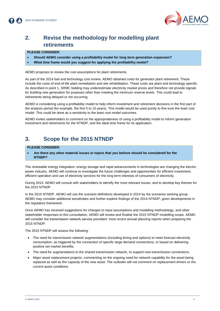

# **2. Revise the methodology for modelling plant retirements**

## **PLEASE CONSIDER:**

- **Should AEMO consider using a profitability model for long term generation expansion?**
- **What time frame would you suggest for applying the profitability model?**

AEMO proposes to review the cost assumptions for plant retirements.

As part of the 2014 fuel and technology cost review, AEMO obtained costs for generator plant retirement. These include the costs of end-of-life plant remediation and site rehabilitation. These costs are plant and technology specific. As described in point 1, SRMC bidding may underestimate electricity market prices and therefore not provide signals for building new generation for purposes other than meeting the minimum reserve levels. This could lead to retirements being delayed or not occurring.

AEMO is considering using a profitability model to help inform investment and retirement decisions in the first part of the analysis period (for example, the first 5 to 10 years). This model would be used purely to fine tune the least cost model. This could be done as a sensitivity to the least cost model outcomes.

AEMO invites stakeholders to comment on the appropriateness of using a profitability model to inform generation investment and retirements for the NTNDP, and the ideal time frame for its application.

# **3. Scope for the 2015 NTNDP**

#### **PLEASE CONSIDER:**

 **Are there any other material issues or topics that you believe should be considered for the NTNDP?**

The renewable energy integration, energy storage and rapid advancements in technologies are changing the electric power industry. AEMO will continue to investigate the future challenges and opportunities for efficient investment, efficient operation and use of electricity services for the long term interests of consumers of electricity.

During 2015, AEMO will consult with stakeholders to identify the most relevant issues, and to develop key themes for the 2015 NTNDP.

In the 2015 NTNDP, AEMO will use the scenario definitions developed in 2014 by the scenarios working group. AEMO may consider additional sensitivities and further explore findings of the 2014 NTNDP, given developments in the regulatory framework.

Once AEMO has received suggestions for changes to input assumptions and modelling methodology, and other stakeholder responses to this consultation, AEMO will review and finalise the 2015 NTNDP modelling scope. AEMO will consider the transmission network service providers' most recent annual planning reports when preparing the 2015 NTNDP.

The 2015 NTNDP will assess the following:

- The need for transmission network augmentations (including timing and options) to meet forecast electricity consumption, as triggered by the connection of specific large demand connections, or based on delivering positive net market benefits.
- The need for augmentations to the shared transmission network, to support new transmission connections.
- Major asset replacement projects, commenting on the ongoing need for network capability for the asset being replaced as well as the capacity of the new asset. The outlooks will not comment on replacement drivers or the current asset conditions.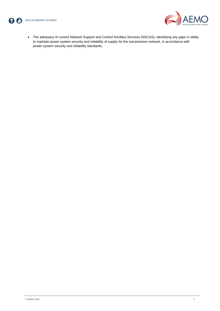



 The adequacy of current Network Support and Control Ancillary Services (NSCAS), identifying any gaps in ability to maintain power system security and reliability of supply for the transmission network, in accordance with power system security and reliability standards.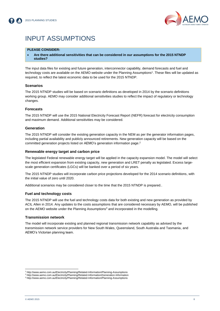

# INPUT ASSUMPTIONS

## **PLEASE CONSIDER:**

 **Are there additional sensitivities that can be considered in our assumptions for the 2015 NTNDP studies?**

The input data files for existing and future generation, interconnector capability, demand forecasts and fuel and technology costs are available on the AEMO website under the Planning Assumptions<sup>1</sup>. These files will be updated as required, to reflect the latest economic data to be used for the 2015 NTNDP.

#### **Scenarios**

The 2015 NTNDP studies will be based on scenario definitions as developed in 2014 by the scenario definitions working group. AEMO may consider additional sensitivities studies to reflect the impact of regulatory or technology changes.

#### **Forecasts**

The 2015 NTNDP will use the 2015 National Electricity Forecast Report (NEFR) forecast for electricity consumption and maximum demand. Additional sensitivities may be considered.

#### **Generation**

The 2015 NTNDP will consider the existing generation capacity in the NEM as per the generator information pages, including partial availability and publicly announced retirements. New generation capacity will be based on the committed generation projects listed on AEMO's generation information page. 2

#### **Renewable energy target and carbon price**

The legislated Federal renewable energy target will be applied in the capacity expansion model. The model will select the most efficient expansion from existing capacity, new generation and LRET penalty as legislated. Excess largescale generation certificates (LGCs) will be banked over a period of six years.

The 2015 NTNDP studies will incorporate carbon price projections developed for the 2014 scenario definitions, with the initial value of zero until 2020.

Additional scenarios may be considered closer to the time that the 2015 NTNDP is prepared..

#### **Fuel and technology costs**

The 2015 NTNDP will use the fuel and technology costs data for both existing and new generation as provided by ACIL Allen in 2014. Any updates to the costs assumptions that are considered necessary by AEMO, will be published on the AEMO website under the Planning Assumptions<sup>3</sup> and incorporated in the modelling.

#### **Transmission network**

The model will incorporate existing and planned regional transmission network capability as advised by the transmission network service providers for New South Wales, Queensland, South Australia and Tasmania, and AEMO's Victorian planning team.

l

<sup>1</sup> http://www.aemo.com.au/Electricity/Planning/Related-Information/Planning-Assumptions

<sup>2</sup> http://www.aemo.com.au/Electricity/Planning/Related-Information/Generation-Information

<sup>3</sup> http://www.aemo.com.au/Electricity/Planning/Related-Information/Planning-Assumptions